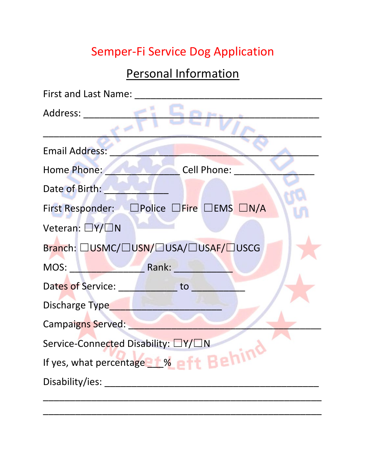## Semper-Fi Service Dog Application

### Personal Information

| First and Last Name:                         |
|----------------------------------------------|
| Address:                                     |
|                                              |
| <b>Email Address:</b>                        |
| Cell Phone:<br>Home Phone:                   |
| Date of Birth:                               |
| First Responder: □ Police □ Fire □ EMS □ N/A |
| Veteran: $\Box$ Y/ $\Box$ N                  |
| Branch: □USMC/□USN/□USA/□USAF/□USCG          |
| Rank:<br>MOS:                                |
| Dates of Service:<br>to                      |
| Discharge Type                               |
| <b>Campaigns Served:</b>                     |
| Service-Connected Disability: □Y/□N          |
| If yes, what percentage 1% of the BETTH      |
| Disability/ies:                              |
|                                              |

\_\_\_\_\_\_\_\_\_\_\_\_\_\_\_\_\_\_\_\_\_\_\_\_\_\_\_\_\_\_\_\_\_\_\_\_\_\_\_\_\_\_\_\_\_\_\_\_\_\_\_\_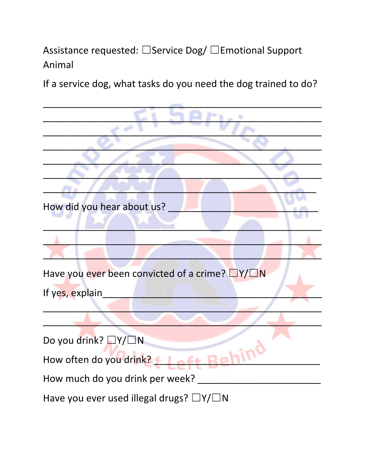### Assistance requested: □ Service Dog/ □ Emotional Support Animal

If a service dog, what tasks do you need the dog trained to do?

How did you hear about us? Have you ever been convicted of a crime? DY/DN If yes, explain Do you drink? □Y/□N How often do you drink? + | aft Rehin How much do you drink per week? Have you ever used illegal drugs? □Y/□N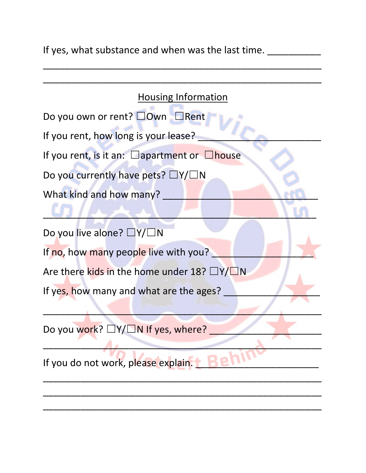If yes, what substance and when was the last time. \_\_\_\_\_\_\_\_\_\_\_\_

\_\_\_\_\_\_\_\_\_\_\_\_\_\_\_\_\_\_\_\_\_\_\_\_\_\_\_\_\_\_\_\_\_\_\_\_\_\_\_\_\_\_\_\_\_\_\_\_\_\_\_\_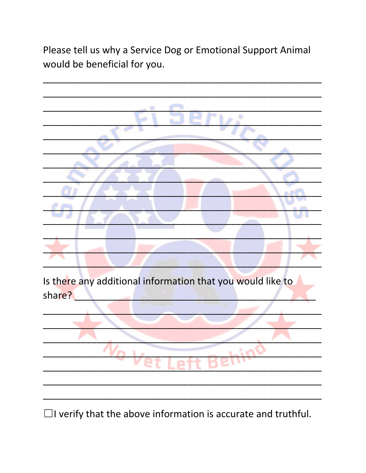Please tell us why a Service Dog or Emotional Support Animal would be beneficial for you.



 $\Box$ I verify that the above information is accurate and truthful.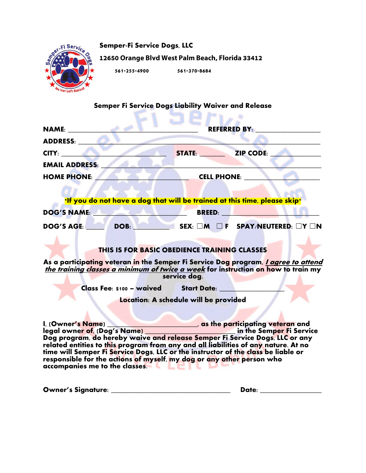

**Semper-Fi Service Dogs, LLC 12650 Orange Blvd West Palm Beach, Florida 33412**

**561-255-4900 561-370-8684**

# **Semper Fi Service Dogs Liability Waiver and Release**

| $\mathbf{NAME:}$                                                                                                                                                                                                                                                                                                                                                                                                       | <b>REFERRED BY:</b>                   |                                                                                                                       |  |
|------------------------------------------------------------------------------------------------------------------------------------------------------------------------------------------------------------------------------------------------------------------------------------------------------------------------------------------------------------------------------------------------------------------------|---------------------------------------|-----------------------------------------------------------------------------------------------------------------------|--|
| ADDRESS: NORTH                                                                                                                                                                                                                                                                                                                                                                                                         |                                       |                                                                                                                       |  |
| CITY: A PARTICULAR CITY:                                                                                                                                                                                                                                                                                                                                                                                               | <b>STATE: ZIP CODE:</b>               |                                                                                                                       |  |
| <b>EMAIL ADDRESS:</b>                                                                                                                                                                                                                                                                                                                                                                                                  |                                       |                                                                                                                       |  |
| <b>HOME PHONE:</b>                                                                                                                                                                                                                                                                                                                                                                                                     | <b>CELL PHONE:</b>                    |                                                                                                                       |  |
|                                                                                                                                                                                                                                                                                                                                                                                                                        |                                       |                                                                                                                       |  |
| *If you do not have a dog that will be trained at this time, please skip*                                                                                                                                                                                                                                                                                                                                              |                                       |                                                                                                                       |  |
| DOG'S NAME:                                                                                                                                                                                                                                                                                                                                                                                                            |                                       | <b>EXAMPLE BREED: A PARTICIPATE OF A PARTICIPATE OF A PARTICIPATE OF A PARTICIPATE OF A PARTICIPATE OF A PARTICIP</b> |  |
| <b>DOG'S AGE:</b>                                                                                                                                                                                                                                                                                                                                                                                                      |                                       | DOB: SEX: □M □ F SPAY/NEUTERED: □Y □N                                                                                 |  |
|                                                                                                                                                                                                                                                                                                                                                                                                                        |                                       |                                                                                                                       |  |
| THIS IS FOR BASIC OBEDIENCE TRAINING CLASSES                                                                                                                                                                                                                                                                                                                                                                           |                                       |                                                                                                                       |  |
| As a participating veteran in the Semper Fi Service Dog program, <i>I agree to attend</i><br>the training classes a minimum of twice a week for instruction on how to train my                                                                                                                                                                                                                                         | service dog.                          |                                                                                                                       |  |
| Class Fee: \$100 - waived Start Date:                                                                                                                                                                                                                                                                                                                                                                                  |                                       |                                                                                                                       |  |
|                                                                                                                                                                                                                                                                                                                                                                                                                        | Location: A schedule will be provided |                                                                                                                       |  |
|                                                                                                                                                                                                                                                                                                                                                                                                                        |                                       |                                                                                                                       |  |
| I, (Owner's Name)<br>Legal owner of, (Dog's Name)<br>Dog program, do hereby waive and release Semper Fi Service Dogs, LLC or any<br>related entities to this program from any and all liabilities of any nature. At no<br>time will Semper Fi Service Dogs, LLC or the instructor of the class be liable or<br>responsible for the actions of myself, my dog or any other person who<br>accompanies me to the classes. |                                       |                                                                                                                       |  |

| <b>Owner's Signature:</b> | Date: |
|---------------------------|-------|
|                           |       |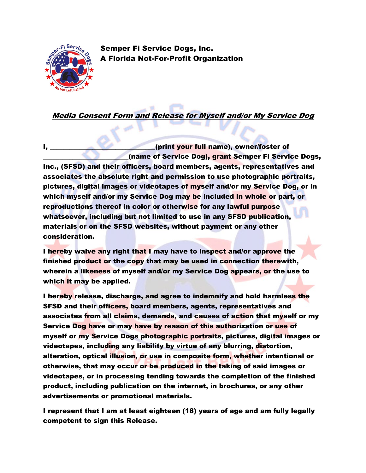

Semper Fi Service Dogs, Inc. A Florida Not-For-Profit Organization

Media Consent Form and Release for Myself and/or My Service Dog

I, **I, and the set of the set of the set of the set of the set of the set of the set of the set of the set of the set of the set of the set of the set of the set of the set of the set of the set of the set of the set of th** \_\_\_\_\_\_\_\_\_\_\_\_\_\_\_\_\_\_\_\_\_\_\_\_\_\_(name of Service Dog), grant Semper Fi Service Dogs, Inc., (SFSD) and their officers, board members, agents, representatives and associates the absolute right and permission to use photographic portraits, pictures, digital images or videotapes of myself and/or my Service Dog, or in which myself and/or my Service Dog may be included in whole or part, or reproductions thereof in color or otherwise for any lawful purpose whatsoever, including but not limited to use in any SFSD publication, materials or on the SFSD websites, without payment or any other consideration.

I hereby waive any right that I may have to inspect and/or approve the finished product or the copy that may be used in connection therewith, wherein a likeness of myself and/or my Service Dog appears, or the use to which it may be applied.

I hereby release, discharge, and agree to indemnify and hold harmless the SFSD and their officers, board members, agents, representatives and associates from all claims, demands, and causes of action that myself or my Service Dog have or may have by reason of this authorization or use of myself or my Service Dogs photographic portraits, pictures, digital images or videotapes, including any liability by virtue of any blurring, distortion, alteration, optical illusion, or use in composite form, whether intentional or otherwise, that may occur or be produced in the taking of said images or videotapes, or in processing tending towards the completion of the finished product, including publication on the internet, in brochures, or any other advertisements or promotional materials.

I represent that I am at least eighteen (18) years of age and am fully legally competent to sign this Release.